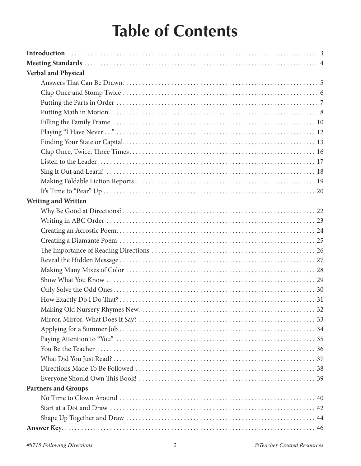## **Table of Contents**

| <b>Verbal and Physical</b> |  |
|----------------------------|--|
|                            |  |
|                            |  |
|                            |  |
|                            |  |
|                            |  |
|                            |  |
|                            |  |
|                            |  |
|                            |  |
|                            |  |
|                            |  |
|                            |  |
| <b>Writing and Written</b> |  |
|                            |  |
|                            |  |
|                            |  |
|                            |  |
|                            |  |
|                            |  |
|                            |  |
|                            |  |
|                            |  |
|                            |  |
|                            |  |
|                            |  |
|                            |  |
|                            |  |
|                            |  |
|                            |  |
|                            |  |
|                            |  |
| <b>Partners and Groups</b> |  |
|                            |  |
|                            |  |
|                            |  |
|                            |  |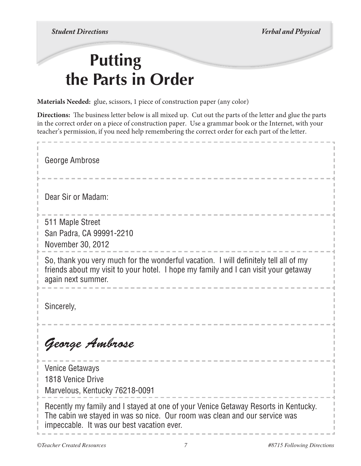*Student Directions Verbal and Physical*

## **Putting the Parts in Order**

**Materials Needed:** glue, scissors, 1 piece of construction paper (any color)

**Directions:** The business letter below is all mixed up. Cut out the parts of the letter and glue the parts in the correct order on a piece of construction paper. Use a grammar book or the Internet, with your teacher's permission, if you need help remembering the correct order for each part of the letter.

George Ambrose Dear Sir or Madam: 511 Maple Street San Padra, CA 99991-2210 November 30, 2012 So, thank you very much for the wonderful vacation. I will definitely tell all of my friends about my visit to your hotel. I hope my family and I can visit your getaway again next summer. Sincerely, *George Ambrose* Venice Getaways 1818 Venice Drive Marvelous, Kentucky 76218-0091 Recently my family and I stayed at one of your Venice Getaway Resorts in Kentucky. The cabin we stayed in was so nice. Our room was clean and our service was impeccable. It was our best vacation ever.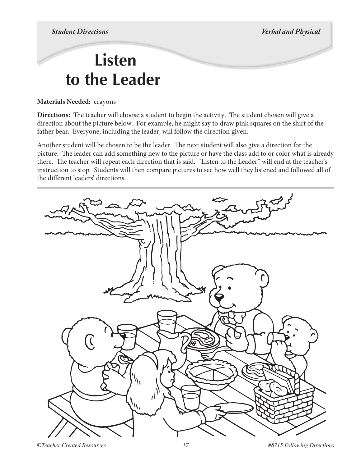*Student Directions Verbal and Physical* 

## **Listen to the Leader**

#### **Materials Needed:** crayons

**Directions:** The teacher will choose a student to begin the activity. The student chosen will give a direction about the picture below. For example, he might say to draw pink squares on the shirt of the father bear. Everyone, including the leader, will follow the direction given.

Another student will be chosen to be the leader. The next student will also give a direction for the picture. The leader can add something new to the picture or have the class add to or color what is already there. The teacher will repeat each direction that is said. "Listen to the Leader" will end at the teacher's instruction to stop. Students will then compare pictures to see how well they listened and followed all of the different leaders' directions.

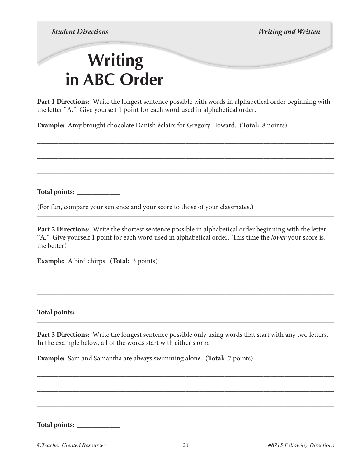*Student Directions Writing and Written*

## **Writing in ABC Order**

**Part 1 Directions:** Write the longest sentence possible with words in alphabetical order beginning with the letter "A." Give yourself 1 point for each word used in alphabetical order.

\_\_\_\_\_\_\_\_\_\_\_\_\_\_\_\_\_\_\_\_\_\_\_\_\_\_\_\_\_\_\_\_\_\_\_\_\_\_\_\_\_\_\_\_\_\_\_\_\_\_\_\_\_\_\_\_\_\_\_\_\_\_\_\_\_\_\_\_\_\_\_\_\_\_\_\_\_\_\_\_\_\_\_\_

\_\_\_\_\_\_\_\_\_\_\_\_\_\_\_\_\_\_\_\_\_\_\_\_\_\_\_\_\_\_\_\_\_\_\_\_\_\_\_\_\_\_\_\_\_\_\_\_\_\_\_\_\_\_\_\_\_\_\_\_\_\_\_\_\_\_\_\_\_\_\_\_\_\_\_\_\_\_\_\_\_\_\_\_

\_\_\_\_\_\_\_\_\_\_\_\_\_\_\_\_\_\_\_\_\_\_\_\_\_\_\_\_\_\_\_\_\_\_\_\_\_\_\_\_\_\_\_\_\_\_\_\_\_\_\_\_\_\_\_\_\_\_\_\_\_\_\_\_\_\_\_\_\_\_\_\_\_\_\_\_\_\_\_\_\_\_\_\_

**Example:** Amy brought chocolate Danish éclairs for Gregory Howard. (**Total:** 8 points)

**Total points:** \_\_\_\_\_\_\_\_\_\_\_\_

(For fun, compare your sentence and your score to those of your classmates.)

**Part 2 Directions:** Write the shortest sentence possible in alphabetical order beginning with the letter "A." Give yourself 1 point for each word used in alphabetical order. This time the *lower* your score is, the better!

\_\_\_\_\_\_\_\_\_\_\_\_\_\_\_\_\_\_\_\_\_\_\_\_\_\_\_\_\_\_\_\_\_\_\_\_\_\_\_\_\_\_\_\_\_\_\_\_\_\_\_\_\_\_\_\_\_\_\_\_\_\_\_\_\_\_\_\_\_\_\_\_\_\_\_\_\_\_\_\_\_\_\_\_

\_\_\_\_\_\_\_\_\_\_\_\_\_\_\_\_\_\_\_\_\_\_\_\_\_\_\_\_\_\_\_\_\_\_\_\_\_\_\_\_\_\_\_\_\_\_\_\_\_\_\_\_\_\_\_\_\_\_\_\_\_\_\_\_\_\_\_\_\_\_\_\_\_\_\_\_\_\_\_\_\_\_\_\_

**Example:** <u>A</u> bird chirps. (Total: 3 points)

**Total points:** \_\_\_\_\_\_\_\_\_\_\_\_

**Part 3 Directions**: Write the longest sentence possible only using words that start with any two letters. In the example below, all of the words start with either *s* or *a*.

\_\_\_\_\_\_\_\_\_\_\_\_\_\_\_\_\_\_\_\_\_\_\_\_\_\_\_\_\_\_\_\_\_\_\_\_\_\_\_\_\_\_\_\_\_\_\_\_\_\_\_\_\_\_\_\_\_\_\_\_\_\_\_\_\_\_\_\_\_\_\_\_\_\_\_\_\_\_\_\_\_\_\_\_

\_\_\_\_\_\_\_\_\_\_\_\_\_\_\_\_\_\_\_\_\_\_\_\_\_\_\_\_\_\_\_\_\_\_\_\_\_\_\_\_\_\_\_\_\_\_\_\_\_\_\_\_\_\_\_\_\_\_\_\_\_\_\_\_\_\_\_\_\_\_\_\_\_\_\_\_\_\_\_\_\_\_\_\_

\_\_\_\_\_\_\_\_\_\_\_\_\_\_\_\_\_\_\_\_\_\_\_\_\_\_\_\_\_\_\_\_\_\_\_\_\_\_\_\_\_\_\_\_\_\_\_\_\_\_\_\_\_\_\_\_\_\_\_\_\_\_\_\_\_\_\_\_\_\_\_\_\_\_\_\_\_\_\_\_\_\_\_\_

**Example:** Sam and Samantha are always swimming alone. (**Total:** 7 points)

**Total points:** \_\_\_\_\_\_\_\_\_\_\_\_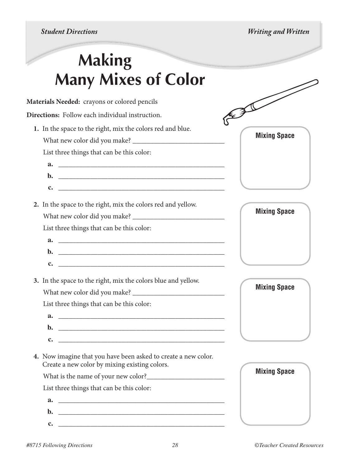*Student Directions Writing and Written*

**Mixing Space**

 $\begin{picture}(120,10) \put(0,0){\line(1,0){155}} \put(15,0){\line(1,0){155}} \put(15,0){\line(1,0){155}} \put(15,0){\line(1,0){155}} \put(15,0){\line(1,0){155}} \put(15,0){\line(1,0){155}} \put(15,0){\line(1,0){155}} \put(15,0){\line(1,0){155}} \put(15,0){\line(1,0){155}} \put(15,0){\line(1,0){155}} \put(15,0){\line(1,0){155}}$ 

**Mixing Space**

**Mixing Space**

# **Making Many Mixes of Color**

**Materials Needed:** crayons or colored pencils

**Directions:** Follow each individual instruction.

- **1.** In the space to the right, mix the colors red and blue.
	- What new color did you make? \_\_\_\_\_\_\_\_\_\_\_\_\_\_\_\_\_\_\_\_\_\_\_\_\_\_

List three things that can be this color:

- **a.** \_\_\_\_\_\_\_\_\_\_\_\_\_\_\_\_\_\_\_\_\_\_\_\_\_\_\_\_\_\_\_\_\_\_\_\_\_\_\_\_\_\_\_\_\_\_\_ **b.** \_\_\_\_\_\_\_\_\_\_\_\_\_\_\_\_\_\_\_\_\_\_\_\_\_\_\_\_\_\_\_\_\_\_\_\_\_\_\_\_\_\_\_\_\_\_\_ c.
- **2.** In the space to the right, mix the colors red and yellow.

What new color did you make? \_\_\_\_\_\_\_\_\_\_\_\_\_\_\_\_\_\_\_\_\_\_\_\_\_\_

List three things that can be this color:

- $a.$ **b.** \_\_\_\_\_\_\_\_\_\_\_\_\_\_\_\_\_\_\_\_\_\_\_\_\_\_\_\_\_\_\_\_\_\_\_\_\_\_\_\_\_\_\_\_\_\_\_ c.
- **3.** In the space to the right, mix the colors blue and yellow.

What new color did you make? \_\_\_\_\_\_\_\_\_\_\_\_\_\_\_\_\_\_\_\_\_\_\_\_\_\_

List three things that can be this color:

- **a.** \_\_\_\_\_\_\_\_\_\_\_\_\_\_\_\_\_\_\_\_\_\_\_\_\_\_\_\_\_\_\_\_\_\_\_\_\_\_\_\_\_\_\_\_\_\_\_ **b.**  $\blacksquare$ **c.**  $\blacksquare$
- **4.** Now imagine that you have been asked to create a new color. Create a new color by mixing existing colors.

What is the name of your new color?\_\_\_\_\_\_\_\_\_\_\_\_\_\_\_\_\_\_\_\_\_\_

List three things that can be this color:

**a.** \_\_\_\_\_\_\_\_\_\_\_\_\_\_\_\_\_\_\_\_\_\_\_\_\_\_\_\_\_\_\_\_\_\_\_\_\_\_\_\_\_\_\_\_\_\_\_ **b.** \_\_\_\_\_\_\_\_\_\_\_\_\_\_\_\_\_\_\_\_\_\_\_\_\_\_\_\_\_\_\_\_\_\_\_\_\_\_\_\_\_\_\_\_\_\_\_ **c.** \_\_\_\_\_\_\_\_\_\_\_\_\_\_\_\_\_\_\_\_\_\_\_\_\_\_\_\_\_\_\_\_\_\_\_\_\_\_\_\_\_\_\_\_\_\_\_

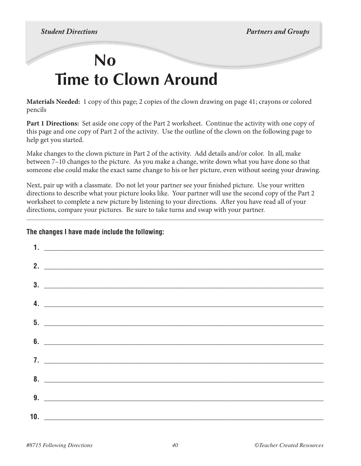## **No Time to Clown Around**

**Materials Needed:** 1 copy of this page; 2 copies of the clown drawing on page 41; crayons or colored pencils

**Part 1 Directions:** Set aside one copy of the Part 2 worksheet. Continue the activity with one copy of this page and one copy of Part 2 of the activity. Use the outline of the clown on the following page to help get you started.

Make changes to the clown picture in Part 2 of the activity. Add details and/or color. In all, make between 7–10 changes to the picture. As you make a change, write down what you have done so that someone else could make the exact same change to his or her picture, even without seeing your drawing.

Next, pair up with a classmate. Do not let your partner see your finished picture. Use your written directions to describe what your picture looks like. Your partner will use the second copy of the Part 2 worksheet to complete a new picture by listening to your directions. After you have read all of your directions, compare your pictures. Be sure to take turns and swap with your partner.

### **The changes I have made include the following:**

| $1.$ $\overline{\phantom{a}}$                                                                                                                                                                                                                                                                                                                                                         |
|---------------------------------------------------------------------------------------------------------------------------------------------------------------------------------------------------------------------------------------------------------------------------------------------------------------------------------------------------------------------------------------|
| 2. $\overline{\phantom{a}}$                                                                                                                                                                                                                                                                                                                                                           |
| $\overline{\mathbf{3.}}$ $\overline{\phantom{1}}$                                                                                                                                                                                                                                                                                                                                     |
| 4. $\overline{\phantom{a}}$                                                                                                                                                                                                                                                                                                                                                           |
|                                                                                                                                                                                                                                                                                                                                                                                       |
|                                                                                                                                                                                                                                                                                                                                                                                       |
| $\bullet$ .                                                                                                                                                                                                                                                                                                                                                                           |
| $\overline{7}$ . $\overline{2}$ $\overline{2}$ $\overline{2}$ $\overline{2}$ $\overline{2}$ $\overline{2}$ $\overline{2}$ $\overline{2}$ $\overline{2}$ $\overline{2}$ $\overline{2}$ $\overline{2}$ $\overline{2}$ $\overline{2}$ $\overline{2}$ $\overline{2}$ $\overline{2}$ $\overline{2}$ $\overline{2}$ $\overline{2}$ $\overline{2}$ $\overline{2}$ $\overline{2}$ $\overline$ |
| $8.$ $\overline{\phantom{a}}$                                                                                                                                                                                                                                                                                                                                                         |
| 9.                                                                                                                                                                                                                                                                                                                                                                                    |
|                                                                                                                                                                                                                                                                                                                                                                                       |